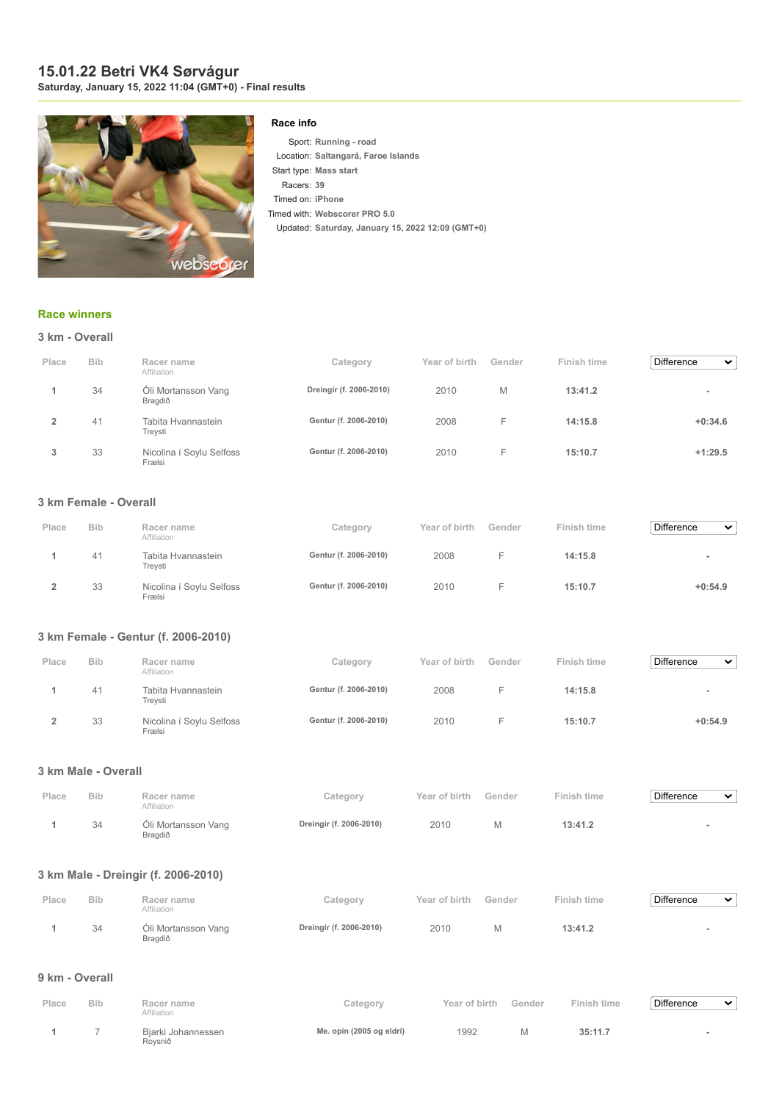## **15.01.22 Betri VK4 Sørvágur Saturday, January 15, 2022 11:04 (GMT+0) - Final results**



## **Race info**

Sport: **Running - road** Location: **Saltangará, Faroe Islands** Start type: **Mass start** Racers: **39** Timed on: **iPhone** Timed with: **Webscorer PRO 5.0** Updated: **Saturday, January 15, 2022 12:09 (GMT+0)**

## **[Race winners](https://www.webscorer.com/race?raceid=264936)**

|  |  |  |  | 3 km - Overall |
|--|--|--|--|----------------|
|--|--|--|--|----------------|

| Place | <b>Bib</b> | Racer name<br>Affiliation          | Category                | Year of birth | Gender | Finish time | <b>Difference</b><br>$\checkmark$ |
|-------|------------|------------------------------------|-------------------------|---------------|--------|-------------|-----------------------------------|
|       | 34         | Óli Mortansson Vang<br>Bragdið     | Dreingir (f. 2006-2010) | 2010          | M      | 13:41.2     |                                   |
|       | 41         | Tabita Hvannastein<br>Treysti      | Gentur (f. 2006-2010)   | 2008          | F      | 14:15.8     | $+0:34.6$                         |
| 3     | 33         | Nicolina í Soylu Selfoss<br>Frælsi | Gentur (f. 2006-2010)   | 2010          | н.     | 15:10.7     | $+1:29.5$                         |

#### **3 km Female - Overall**

| Place | <b>Bib</b> | Racer name<br>Affiliation          | Category              | Year of birth | Gender | Finish time | Difference<br>$\checkmark$ |
|-------|------------|------------------------------------|-----------------------|---------------|--------|-------------|----------------------------|
|       | 41         | Tabita Hvannastein<br>Trevsti      | Gentur (f. 2006-2010) | 2008          |        | 14:15.8     | $\overline{\phantom{a}}$   |
|       | 33         | Nicolina í Soylu Selfoss<br>Frælsi | Gentur (f. 2006-2010) | 2010          |        | 15:10.7     | $+0:54.9$                  |

# **3 km Female - Gentur (f. 2006-2010)**

| Place | <b>Bib</b> | Racer name<br>Affiliation          | Category              | Year of birth | Gender | Finish time | <b>Difference</b><br>$\checkmark$ |
|-------|------------|------------------------------------|-----------------------|---------------|--------|-------------|-----------------------------------|
|       | 41         | Tabita Hvannastein<br>Treysti      | Gentur (f. 2006-2010) | 2008          |        | 14:15.8     | $\,$                              |
|       | 33         | Nicolina í Soylu Selfoss<br>Frælsi | Gentur (f. 2006-2010) | 2010          |        | 15:10.7     | $+0:54.9$                         |

## **3 km Male - Overall**

| Place | <b>Bib</b> | Racer name<br>Affiliation      | Category                | Year of birth | Gender | Finish time | Difference | $\checkmark$ |
|-------|------------|--------------------------------|-------------------------|---------------|--------|-------------|------------|--------------|
|       | 34         | Óli Mortansson Vang<br>Bragdið | Dreingir (f. 2006-2010) | 2010          |        | 13:41.2     |            |              |

#### **3 km Male - Dreingir (f. 2006-2010)**

| Place | <b>Bib</b> | Racer name<br>Affiliation      | Category                | Year of birth Gender |   | Finish time | Difference<br>$\checkmark$ |
|-------|------------|--------------------------------|-------------------------|----------------------|---|-------------|----------------------------|
|       | 34         | Óli Mortansson Vang<br>Bragdið | Dreingir (f. 2006-2010) | 2010                 | M | 13:41.2     |                            |

#### **9 km - Overall**

| Place | <b>Bib</b> | Racer name<br>Affiliation     | Category                 | Year of birth | Gender | Finish time | Difference | $\checkmark$ |
|-------|------------|-------------------------------|--------------------------|---------------|--------|-------------|------------|--------------|
|       |            | Biarki Johannessen<br>Roysnið | Me. opin (2005 og eldri) | 1992          | M      | 35:11.7     |            |              |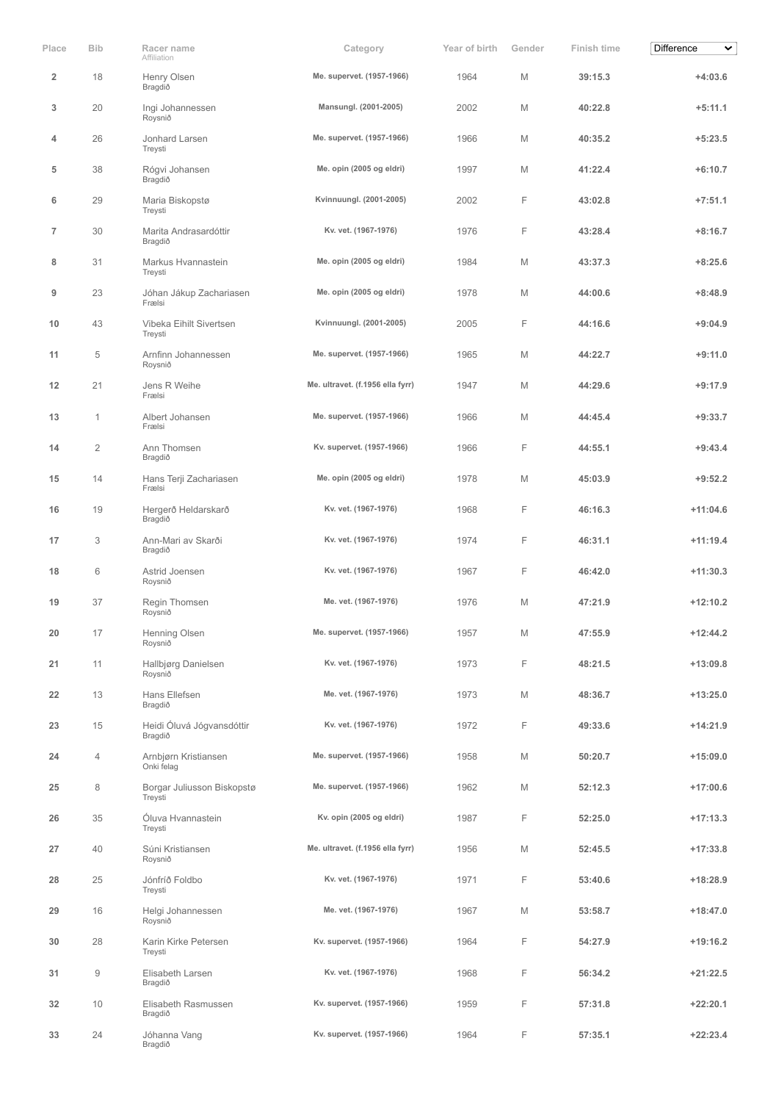| Place          | <b>Bib</b>     | Racer name<br>Affiliation             | Category                         | Year of birth | Gender | Finish time | Difference<br>$\checkmark$ |
|----------------|----------------|---------------------------------------|----------------------------------|---------------|--------|-------------|----------------------------|
| $\overline{2}$ | 18             | Henry Olsen<br>Bragdið                | Me. supervet. (1957-1966)        | 1964          | M      | 39:15.3     | $+4:03.6$                  |
| 3              | 20             | Ingi Johannessen<br>Roysnið           | Mansungl. (2001-2005)            | 2002          | M      | 40:22.8     | $+5:11.1$                  |
| 4              | 26             | Jonhard Larsen<br>Treysti             | Me. supervet. (1957-1966)        | 1966          | M      | 40:35.2     | $+5:23.5$                  |
| 5              | 38             | Rógvi Johansen<br>Bragdið             | Me. opin (2005 og eldri)         | 1997          | M      | 41:22.4     | $+6:10.7$                  |
| 6              | 29             | Maria Biskopstø<br>Treysti            | Kvinnuungl. (2001-2005)          | 2002          | F      | 43:02.8     | $+7:51.1$                  |
| $\overline{7}$ | 30             | Marita Andrasardóttir<br>Bragdið      | Kv. vet. (1967-1976)             | 1976          | F      | 43:28.4     | $+8:16.7$                  |
| 8              | 31             | Markus Hvannastein<br>Treysti         | Me. opin (2005 og eldri)         | 1984          | M      | 43:37.3     | $+8:25.6$                  |
| 9              | 23             | Jóhan Jákup Zachariasen<br>Frælsi     | Me. opin (2005 og eldri)         | 1978          | M      | 44:00.6     | $+8:48.9$                  |
| 10             | 43             | Vibeka Eihilt Sivertsen<br>Treysti    | Kvinnuungl. (2001-2005)          | 2005          | F      | 44:16.6     | $+9:04.9$                  |
| 11             | 5              | Arnfinn Johannessen<br>Roysnið        | Me. supervet. (1957-1966)        | 1965          | M      | 44:22.7     | $+9:11.0$                  |
| 12             | 21             | Jens R Weihe<br>Frælsi                | Me. ultravet. (f.1956 ella fyrr) | 1947          | M      | 44:29.6     | $+9:17.9$                  |
| 13             | $\mathbf{1}$   | Albert Johansen<br>Frælsi             | Me. supervet. (1957-1966)        | 1966          | M      | 44:45.4     | $+9:33.7$                  |
| 14             | $\overline{2}$ | Ann Thomsen<br>Bragdið                | Kv. supervet. (1957-1966)        | 1966          | F      | 44:55.1     | $+9:43.4$                  |
| 15             | 14             | Hans Terji Zachariasen<br>Frælsi      | Me. opin (2005 og eldri)         | 1978          | M      | 45:03.9     | $+9:52.2$                  |
| 16             | 19             | Hergerð Heldarskarð<br>Bragdið        | Kv. vet. (1967-1976)             | 1968          | F      | 46:16.3     | $+11:04.6$                 |
| 17             | 3              | Ann-Mari av Skarði<br>Bragdið         | Kv. vet. (1967-1976)             | 1974          | F      | 46:31.1     | $+11:19.4$                 |
| 18             | 6              | Astrid Joensen<br>Roysnið             | Kv. vet. (1967-1976)             | 1967          | F      | 46:42.0     | $+11:30.3$                 |
| 19             | 37             | Regin Thomsen<br>Roysnið              | Me. vet. (1967-1976)             | 1976          | M      | 47:21.9     | $+12:10.2$                 |
| 20             | 17             | Henning Olsen<br>Roysnið              | Me. supervet. (1957-1966)        | 1957          | M      | 47:55.9     | $+12:44.2$                 |
| 21             | 11             | Hallbjørg Danielsen<br>Roysnið        | Kv. vet. (1967-1976)             | 1973          | F      | 48:21.5     | $+13:09.8$                 |
| 22             | 13             | Hans Ellefsen<br>Bragdið              | Me. vet. (1967-1976)             | 1973          | M      | 48:36.7     | $+13:25.0$                 |
| 23             | 15             | Heidi Óluvá Jógvansdóttir<br>Bragdið  | Kv. vet. (1967-1976)             | 1972          | F.     | 49:33.6     | $+14:21.9$                 |
| 24             | 4              | Arnbjørn Kristiansen<br>Onki felag    | Me. supervet. (1957-1966)        | 1958          | M      | 50:20.7     | $+15:09.0$                 |
| 25             | 8              | Borgar Juliusson Biskopstø<br>Treysti | Me. supervet. (1957-1966)        | 1962          | M      | 52:12.3     | $+17:00.6$                 |
| 26             | 35             | Óluva Hvannastein<br>Treysti          | Kv. opin (2005 og eldri)         | 1987          | F      | 52:25.0     | $+17:13.3$                 |
| 27             | 40             | Súni Kristiansen<br>Roysnið           | Me. ultravet. (f.1956 ella fyrr) | 1956          | M      | 52:45.5     | $+17:33.8$                 |
| 28             | 25             | Jónfríð Foldbo<br>Treysti             | Kv. vet. (1967-1976)             | 1971          | F      | 53:40.6     | $+18:28.9$                 |
| 29             | 16             | Helgi Johannessen<br>Roysnið          | Me. vet. (1967-1976)             | 1967          | M      | 53:58.7     | $+18:47.0$                 |
| 30             | 28             | Karin Kirke Petersen<br>Treysti       | Kv. supervet. (1957-1966)        | 1964          | F      | 54:27.9     | $+19:16.2$                 |
| 31             | 9              | Elisabeth Larsen<br>Bragdið           | Kv. vet. (1967-1976)             | 1968          | F      | 56:34.2     | $+21:22.5$                 |
| 32             | 10             | Elisabeth Rasmussen<br>Bragdið        | Kv. supervet. (1957-1966)        | 1959          | F.     | 57:31.8     | $+22:20.1$                 |
| 33             | 24             | Jóhanna Vang<br>Bragdið               | Kv. supervet. (1957-1966)        | 1964          | F      | 57:35.1     | $+22:23.4$                 |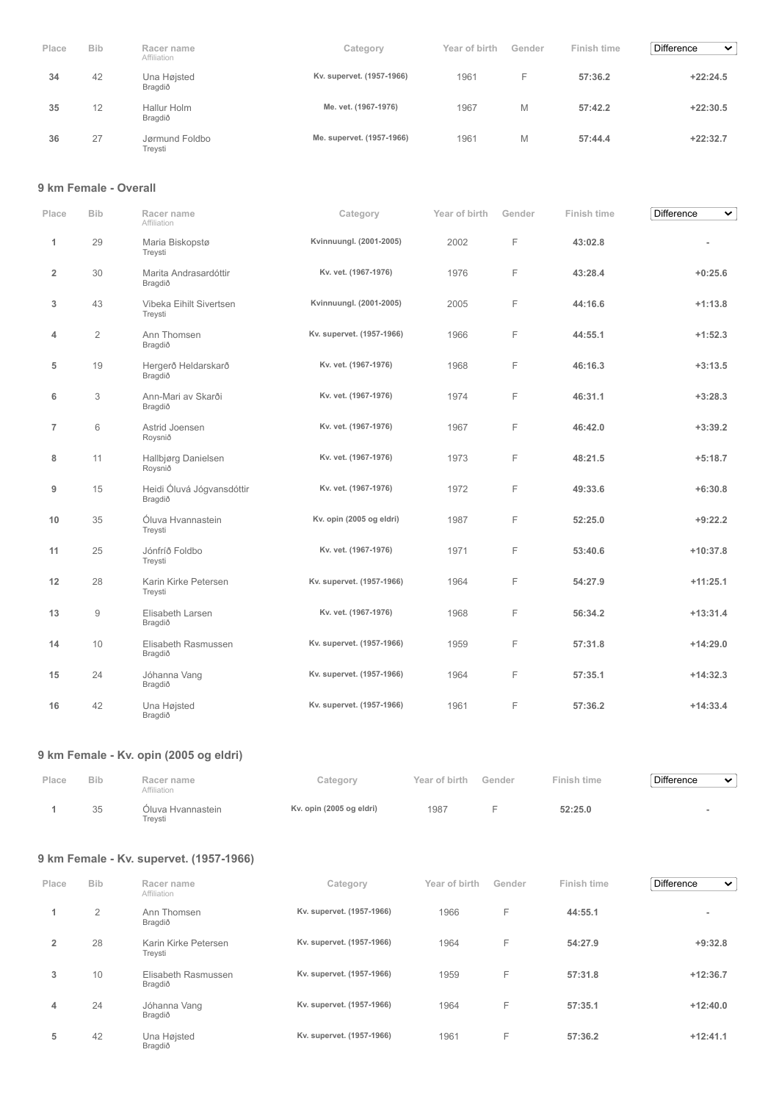| Place | <b>Bib</b> | Racer name<br>Affiliation | Category                  | Year of birth | Gender | Finish time | <b>Difference</b><br>$\checkmark$ |
|-------|------------|---------------------------|---------------------------|---------------|--------|-------------|-----------------------------------|
| 34    | 42         | Una Højsted<br>Bragdið    | Kv. supervet. (1957-1966) | 1961          | н.     | 57:36.2     | $+22:24.5$                        |
| 35    | 12         | Hallur Holm<br>Bragdið    | Me. vet. (1967-1976)      | 1967          | M      | 57:42.2     | $+22:30.5$                        |
| 36    | 27         | Jørmund Foldbo<br>Trevsti | Me. supervet. (1957-1966) | 1961          | М      | 57:44.4     | $+22:32.7$                        |

### **9 km Female - Overall**

| Place                   | <b>Bib</b>             | Racer name<br>Affiliation            | Category                  | Year of birth | Gender | Finish time | <b>Difference</b><br>$\checkmark$ |
|-------------------------|------------------------|--------------------------------------|---------------------------|---------------|--------|-------------|-----------------------------------|
| 1                       | 29                     | Maria Biskopstø<br>Treysti           | Kvinnuungl. (2001-2005)   | 2002          | F      | 43:02.8     |                                   |
| $\overline{\mathbf{2}}$ | 30                     | Marita Andrasardóttir<br>Bragdið     | Kv. vet. (1967-1976)      | 1976          | F      | 43:28.4     | $+0:25.6$                         |
| 3                       | 43                     | Vibeka Eihilt Sivertsen<br>Treysti   | Kvinnuungl. (2001-2005)   | 2005          | F      | 44:16.6     | $+1:13.8$                         |
| 4                       | $\mathbf{2}$           | Ann Thomsen<br>Bragdið               | Kv. supervet. (1957-1966) | 1966          | F      | 44:55.1     | $+1:52.3$                         |
| 5                       | 19                     | Hergerð Heldarskarð<br>Bragdið       | Kv. vet. (1967-1976)      | 1968          | F      | 46:16.3     | $+3:13.5$                         |
| 6                       | 3                      | Ann-Mari av Skarði<br>Bragdið        | Kv. vet. (1967-1976)      | 1974          | F      | 46:31.1     | $+3:28.3$                         |
| $\overline{7}$          | 6                      | Astrid Joensen<br>Roysnið            | Kv. vet. (1967-1976)      | 1967          | F      | 46:42.0     | $+3:39.2$                         |
| 8                       | 11                     | Hallbjørg Danielsen<br>Roysnið       | Kv. vet. (1967-1976)      | 1973          | F      | 48:21.5     | $+5:18.7$                         |
| 9                       | 15                     | Heidi Óluvá Jógvansdóttir<br>Bragdið | Kv. vet. (1967-1976)      | 1972          | F      | 49:33.6     | $+6:30.8$                         |
| 10                      | 35                     | Óluva Hvannastein<br>Treysti         | Kv. opin (2005 og eldri)  | 1987          | F      | 52:25.0     | $+9:22.2$                         |
| 11                      | 25                     | Jónfríð Foldbo<br>Treysti            | Kv. vet. (1967-1976)      | 1971          | F      | 53:40.6     | $+10:37.8$                        |
| 12                      | 28                     | Karin Kirke Petersen<br>Treysti      | Kv. supervet. (1957-1966) | 1964          | F      | 54:27.9     | $+11:25.1$                        |
| 13                      | $\mathrel{\mathsf{g}}$ | Elisabeth Larsen<br>Bragdið          | Kv. vet. (1967-1976)      | 1968          | F      | 56:34.2     | $+13:31.4$                        |
| 14                      | 10                     | Elisabeth Rasmussen<br>Bragdið       | Kv. supervet. (1957-1966) | 1959          | F      | 57:31.8     | $+14:29.0$                        |
| 15                      | 24                     | Jóhanna Vang<br>Bragdið              | Kv. supervet. (1957-1966) | 1964          | F      | 57:35.1     | $+14:32.3$                        |
| 16                      | 42                     | Una Højsted<br>Bragdið               | Kv. supervet. (1957-1966) | 1961          | F      | 57:36.2     | $+14:33.4$                        |

# **9 km Female - Kv. opin (2005 og eldri)**

| Place | <b>Bib</b> | Racer name<br>Affiliation    | Category                 | Year of birth | Gender | Finish time | <b>Difference</b> | $\checkmark$ |
|-------|------------|------------------------------|--------------------------|---------------|--------|-------------|-------------------|--------------|
|       | 35         | Óluva Hvannastein<br>Trevsti | Kv. opin (2005 og eldri) | 1987          |        | 52:25.0     |                   |              |

# **9 km Female - Kv. supervet. (1957-1966)**

| Place          | <b>Bib</b> | Racer name<br>Affiliation       | Category                  | Year of birth | Gender | Finish time | <b>Difference</b><br>$\checkmark$ |
|----------------|------------|---------------------------------|---------------------------|---------------|--------|-------------|-----------------------------------|
| 1              | 2          | Ann Thomsen<br>Bragdið          | Kv. supervet. (1957-1966) | 1966          | F      | 44:55.1     | $\overline{\phantom{a}}$          |
| $\overline{2}$ | 28         | Karin Kirke Petersen<br>Treysti | Kv. supervet. (1957-1966) | 1964          | F      | 54:27.9     | $+9:32.8$                         |
| 3              | 10         | Elisabeth Rasmussen<br>Bragdið  | Kv. supervet. (1957-1966) | 1959          | F      | 57:31.8     | $+12:36.7$                        |
| 4              | 24         | Jóhanna Vang<br>Bragdið         | Kv. supervet. (1957-1966) | 1964          | F      | 57:35.1     | $+12:40.0$                        |
| 5              | 42         | Una Højsted<br>Bragdið          | Kv. supervet. (1957-1966) | 1961          | F      | 57:36.2     | $+12:41.1$                        |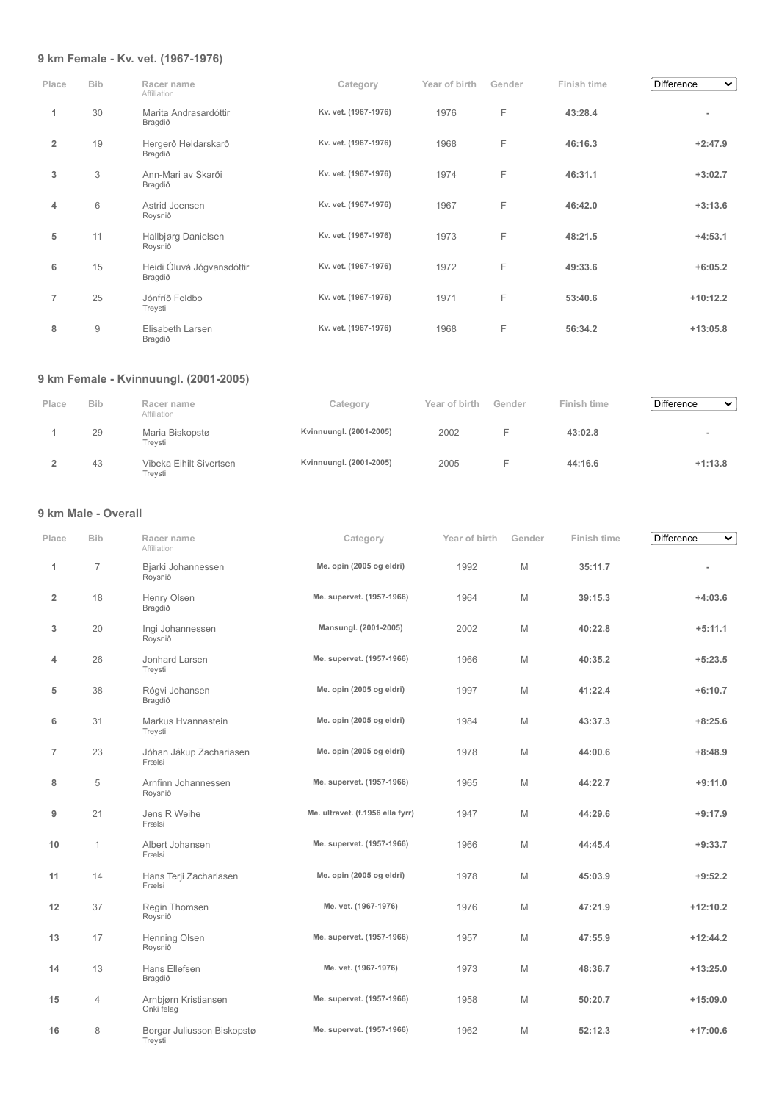## **9 km Female - Kv. vet. (1967-1976)**

| Place          | <b>Bib</b>     | Racer name<br>Affiliation            | Category             | Year of birth | Gender | Finish time | <b>Difference</b><br>$\checkmark$ |
|----------------|----------------|--------------------------------------|----------------------|---------------|--------|-------------|-----------------------------------|
| 1              | 30             | Marita Andrasardóttir<br>Bragdið     | Kv. vet. (1967-1976) | 1976          | F      | 43:28.4     | ۰                                 |
| $\overline{2}$ | 19             | Hergerð Heldarskarð<br>Bragdið       | Kv. vet. (1967-1976) | 1968          | F      | 46:16.3     | $+2:47.9$                         |
| 3              | 3              | Ann-Mari av Skarði<br>Bragdið        | Kv. vet. (1967-1976) | 1974          | F      | 46:31.1     | $+3:02.7$                         |
| 4              | 6              | Astrid Joensen<br>Roysnið            | Kv. vet. (1967-1976) | 1967          | F      | 46:42.0     | $+3:13.6$                         |
| 5              | 11             | Hallbjørg Danielsen<br>Roysnið       | Kv. vet. (1967-1976) | 1973          | F      | 48:21.5     | $+4:53.1$                         |
| 6              | 15             | Heidi Óluvá Jógvansdóttir<br>Bragdið | Kv. vet. (1967-1976) | 1972          | F      | 49:33.6     | $+6:05.2$                         |
| $\overline{7}$ | 25             | Jónfríð Foldbo<br>Treysti            | Kv. vet. (1967-1976) | 1971          | F      | 53:40.6     | $+10:12.2$                        |
| 8              | $\overline{9}$ | Elisabeth Larsen<br>Bragdið          | Kv. vet. (1967-1976) | 1968          | F      | 56:34.2     | $+13:05.8$                        |

# **9 km Female - Kvinnuungl. (2001-2005)**

| Place | <b>Bib</b> | Racer name<br>Affiliation          | Category                | Year of birth | Gender | Finish time | <b>Difference</b><br>$\checkmark$ |
|-------|------------|------------------------------------|-------------------------|---------------|--------|-------------|-----------------------------------|
|       | 29         | Maria Biskopstø<br>Trevsti         | Kvinnuungl. (2001-2005) | 2002          |        | 43:02.8     |                                   |
|       | 43         | Vibeka Eihilt Sivertsen<br>Trevsti | Kvinnuungl. (2001-2005) | 2005          |        | 44:16.6     | $+1:13.8$                         |

# **9 km Male - Overall**

| Place          | <b>Bib</b>     | Racer name<br>Affiliation             | Category                         | Year of birth | Gender | Finish time | Difference<br>$\checkmark$ |
|----------------|----------------|---------------------------------------|----------------------------------|---------------|--------|-------------|----------------------------|
| 1              | $\overline{7}$ | Bjarki Johannessen<br>Roysnið         | Me. opin (2005 og eldri)         | 1992          | M      | 35:11.7     |                            |
| $\overline{2}$ | 18             | Henry Olsen<br>Bragdið                | Me. supervet. (1957-1966)        | 1964          | M      | 39:15.3     | $+4:03.6$                  |
| 3              | 20             | Ingi Johannessen<br>Roysnið           | Mansungl. (2001-2005)            | 2002          | M      | 40:22.8     | $+5:11.1$                  |
| 4              | 26             | Jonhard Larsen<br>Treysti             | Me. supervet. (1957-1966)        | 1966          | M      | 40:35.2     | $+5:23.5$                  |
| 5              | 38             | Rógvi Johansen<br>Bragdið             | Me. opin (2005 og eldri)         | 1997          | M      | 41:22.4     | $+6:10.7$                  |
| 6              | 31             | Markus Hvannastein<br>Treysti         | Me. opin (2005 og eldri)         | 1984          | M      | 43:37.3     | $+8:25.6$                  |
| $\overline{7}$ | 23             | Jóhan Jákup Zachariasen<br>Frælsi     | Me. opin (2005 og eldri)         | 1978          | M      | 44:00.6     | $+8:48.9$                  |
| 8              | 5              | Arnfinn Johannessen<br>Roysnið        | Me. supervet. (1957-1966)        | 1965          | M      | 44:22.7     | $+9:11.0$                  |
| 9              | 21             | Jens R Weihe<br>Frælsi                | Me. ultravet. (f.1956 ella fyrr) | 1947          | M      | 44:29.6     | $+9:17.9$                  |
| 10             | $\mathbf{1}$   | Albert Johansen<br>Frælsi             | Me. supervet. (1957-1966)        | 1966          | M      | 44:45.4     | $+9:33.7$                  |
| 11             | 14             | Hans Terji Zachariasen<br>Frælsi      | Me. opin (2005 og eldri)         | 1978          | M      | 45:03.9     | $+9:52.2$                  |
| 12             | 37             | Regin Thomsen<br>Roysnið              | Me. vet. (1967-1976)             | 1976          | M      | 47:21.9     | $+12:10.2$                 |
| 13             | 17             | Henning Olsen<br>Roysnið              | Me. supervet. (1957-1966)        | 1957          | M      | 47:55.9     | $+12:44.2$                 |
| 14             | 13             | Hans Ellefsen<br>Bragdið              | Me. vet. (1967-1976)             | 1973          | M      | 48:36.7     | $+13:25.0$                 |
| 15             | 4              | Arnbjørn Kristiansen<br>Onki felag    | Me. supervet. (1957-1966)        | 1958          | M      | 50:20.7     | $+15:09.0$                 |
| 16             | 8              | Borgar Juliusson Biskopstø<br>Treysti | Me. supervet. (1957-1966)        | 1962          | M      | 52:12.3     | $+17:00.6$                 |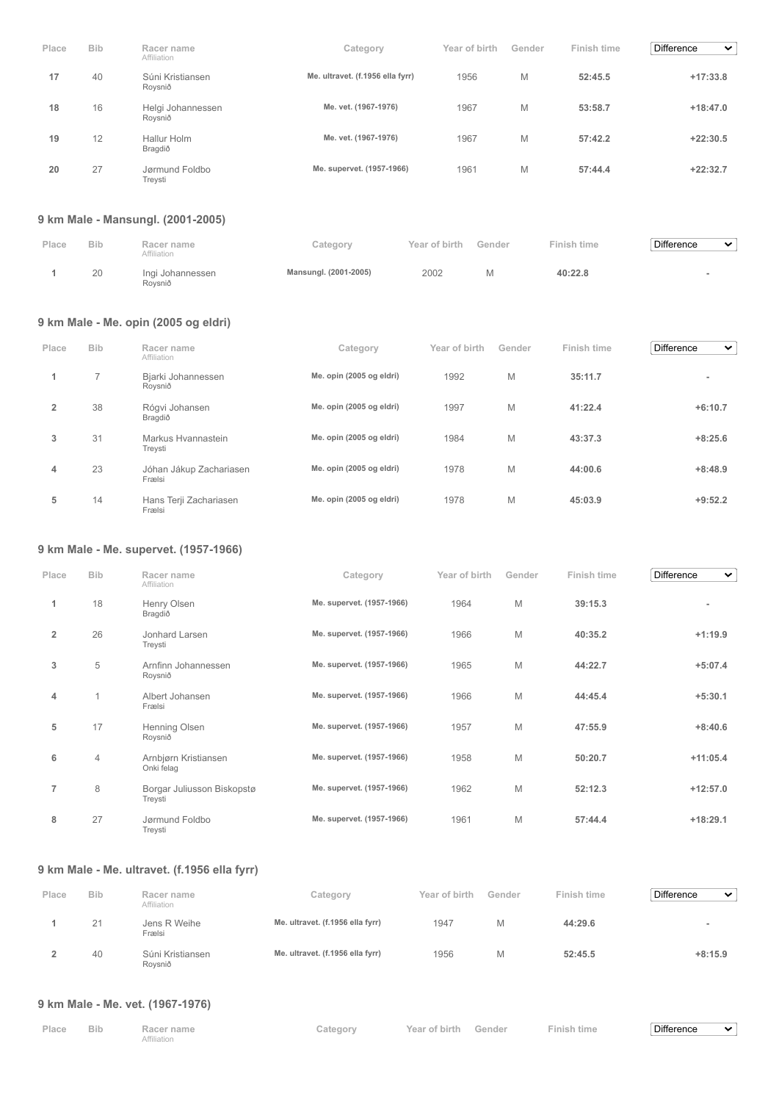| Place | <b>Bib</b> | Racer name<br>Affiliation    | Category                         | Year of birth | Gender | Finish time | <b>Difference</b><br>$\checkmark$ |
|-------|------------|------------------------------|----------------------------------|---------------|--------|-------------|-----------------------------------|
| 17    | 40         | Súni Kristiansen<br>Rovsnið  | Me. ultravet. (f.1956 ella fyrr) | 1956          | M      | 52:45.5     | $+17:33.8$                        |
| 18    | 16         | Helgi Johannessen<br>Roysnið | Me. vet. (1967-1976)             | 1967          | M      | 53:58.7     | $+18:47.0$                        |
| 19    | 12         | Hallur Holm<br>Bragdið       | Me. vet. (1967-1976)             | 1967          | M      | 57:42.2     | $+22:30.5$                        |
| 20    | 27         | Jørmund Foldbo<br>Treysti    | Me. supervet. (1957-1966)        | 1961          | Μ      | 57:44.4     | $+22:32.7$                        |

# **9 km Male - Mansungl. (2001-2005)**

| Place | <b>Bib</b> | Racer name<br>Affiliation   | Category              | Year of birth | Gender | Finish time | Difference<br>$\checkmark$ |  |
|-------|------------|-----------------------------|-----------------------|---------------|--------|-------------|----------------------------|--|
|       | 20         | Ingi Johannessen<br>Rovsnið | Mansungl. (2001-2005) | 2002          | M      | 40:22.8     |                            |  |

# **9 km Male - Me. opin (2005 og eldri)**

| Place | <b>Bib</b> | Racer name<br>Affiliation         | Category                 | Year of birth | Gender | Finish time | <b>Difference</b><br>$\checkmark$ |
|-------|------------|-----------------------------------|--------------------------|---------------|--------|-------------|-----------------------------------|
|       | ⇁          | Bjarki Johannessen<br>Roysnið     | Me. opin (2005 og eldri) | 1992          | M      | 35:11.7     |                                   |
| 2     | 38         | Rógvi Johansen<br>Bragdið         | Me. opin (2005 og eldri) | 1997          | M      | 41:22.4     | $+6:10.7$                         |
| 3     | 31         | Markus Hvannastein<br>Treysti     | Me. opin (2005 og eldri) | 1984          | M      | 43:37.3     | $+8:25.6$                         |
| 4     | 23         | Jóhan Jákup Zachariasen<br>Frælsi | Me. opin (2005 og eldri) | 1978          | M      | 44:00.6     | $+8:48.9$                         |
| 5     | 14         | Hans Terji Zachariasen<br>Frælsi  | Me. opin (2005 og eldri) | 1978          | M      | 45:03.9     | $+9:52.2$                         |

# **9 km Male - Me. supervet. (1957-1966)**

| Place          | <b>Bib</b>     | Racer name<br>Affiliation             | Category                  | Year of birth | Gender | Finish time | Difference<br>$\checkmark$ |
|----------------|----------------|---------------------------------------|---------------------------|---------------|--------|-------------|----------------------------|
| 1              | 18             | Henry Olsen<br>Bragdið                | Me. supervet. (1957-1966) | 1964          | M      | 39:15.3     | ۰                          |
| $\overline{2}$ | 26             | Jonhard Larsen<br>Treysti             | Me. supervet. (1957-1966) | 1966          | M      | 40:35.2     | $+1:19.9$                  |
| 3              | 5              | Arnfinn Johannessen<br>Roysnið        | Me. supervet. (1957-1966) | 1965          | M      | 44:22.7     | $+5:07.4$                  |
| 4              | 1              | Albert Johansen<br>Frælsi             | Me. supervet. (1957-1966) | 1966          | M      | 44:45.4     | $+5:30.1$                  |
| 5              | 17             | Henning Olsen<br>Roysnið              | Me. supervet. (1957-1966) | 1957          | M      | 47:55.9     | $+8:40.6$                  |
| 6              | $\overline{4}$ | Arnbjørn Kristiansen<br>Onki felag    | Me. supervet. (1957-1966) | 1958          | M      | 50:20.7     | $+11:05.4$                 |
| $\overline{7}$ | 8              | Borgar Juliusson Biskopstø<br>Treysti | Me. supervet. (1957-1966) | 1962          | M      | 52:12.3     | $+12:57.0$                 |
| 8              | 27             | Jørmund Foldbo<br>Treysti             | Me. supervet. (1957-1966) | 1961          | M      | 57:44.4     | $+18:29.1$                 |

# **9 km Male - Me. ultravet. (f.1956 ella fyrr)**

| Place | <b>Bib</b> | Racer name<br>Affiliation   | Category                         | Year of birth | Gender | Finish time | <b>Difference</b><br>$\checkmark$ |
|-------|------------|-----------------------------|----------------------------------|---------------|--------|-------------|-----------------------------------|
|       | 21         | Jens R Weihe<br>Frælsi      | Me. ultravet. (f.1956 ella fyrr) | 1947          | М      | 44:29.6     |                                   |
|       | 40         | Súni Kristiansen<br>Rovsnið | Me. ultravet. (f.1956 ella fyrr) | 1956          | М      | 52:45.5     | $+8:15.9$                         |

# **9 km Male - Me. vet. (1967-1976)**

| Place Bib | Racer name  | Category | Year of birth Gender | <b>Finish time</b> | Difference | $\sim$ |
|-----------|-------------|----------|----------------------|--------------------|------------|--------|
|           | Affiliation |          |                      |                    |            |        |